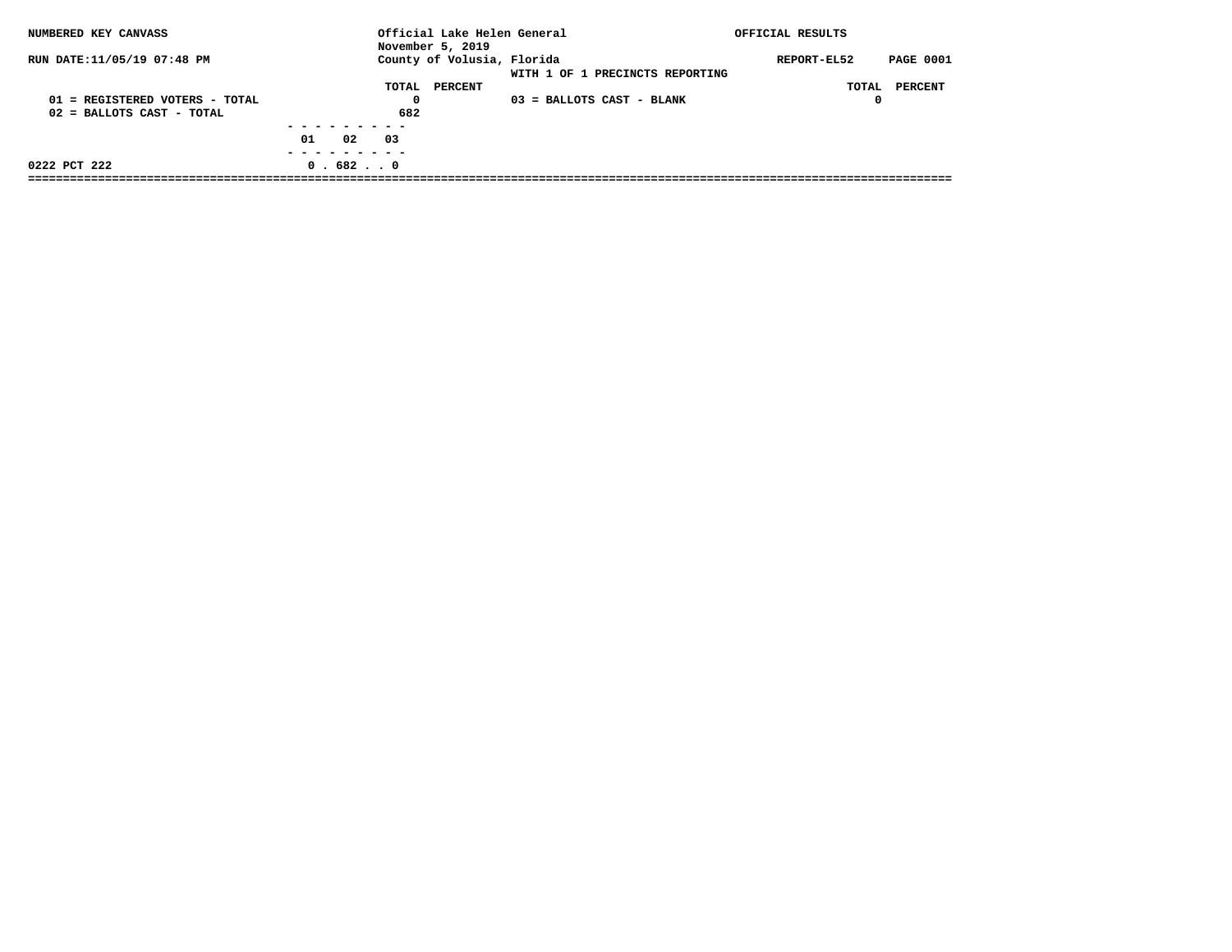| NUMBERED KEY CANVASS             |                  | Official Lake Helen General<br>November 5, 2019 |                                 | OFFICIAL RESULTS |                  |
|----------------------------------|------------------|-------------------------------------------------|---------------------------------|------------------|------------------|
| RUN DATE:11/05/19 07:48 PM       |                  | County of Volusia, Florida                      | WITH 1 OF 1 PRECINCTS REPORTING | REPORT-EL52      | <b>PAGE 0001</b> |
|                                  | TOTAL            | PERCENT                                         |                                 |                  | TOTAL PERCENT    |
| $01$ = REGISTERED VOTERS - TOTAL | 0                |                                                 | 03 = BALLOTS CAST - BLANK       | 0                |                  |
| $02$ = BALLOTS CAST - TOTAL      | 682              |                                                 |                                 |                  |                  |
|                                  |                  |                                                 |                                 |                  |                  |
|                                  | 02<br>01<br>- 03 |                                                 |                                 |                  |                  |
|                                  |                  |                                                 |                                 |                  |                  |
| 0222 PCT 222                     | 0.6820           |                                                 |                                 |                  |                  |
|                                  |                  |                                                 |                                 |                  |                  |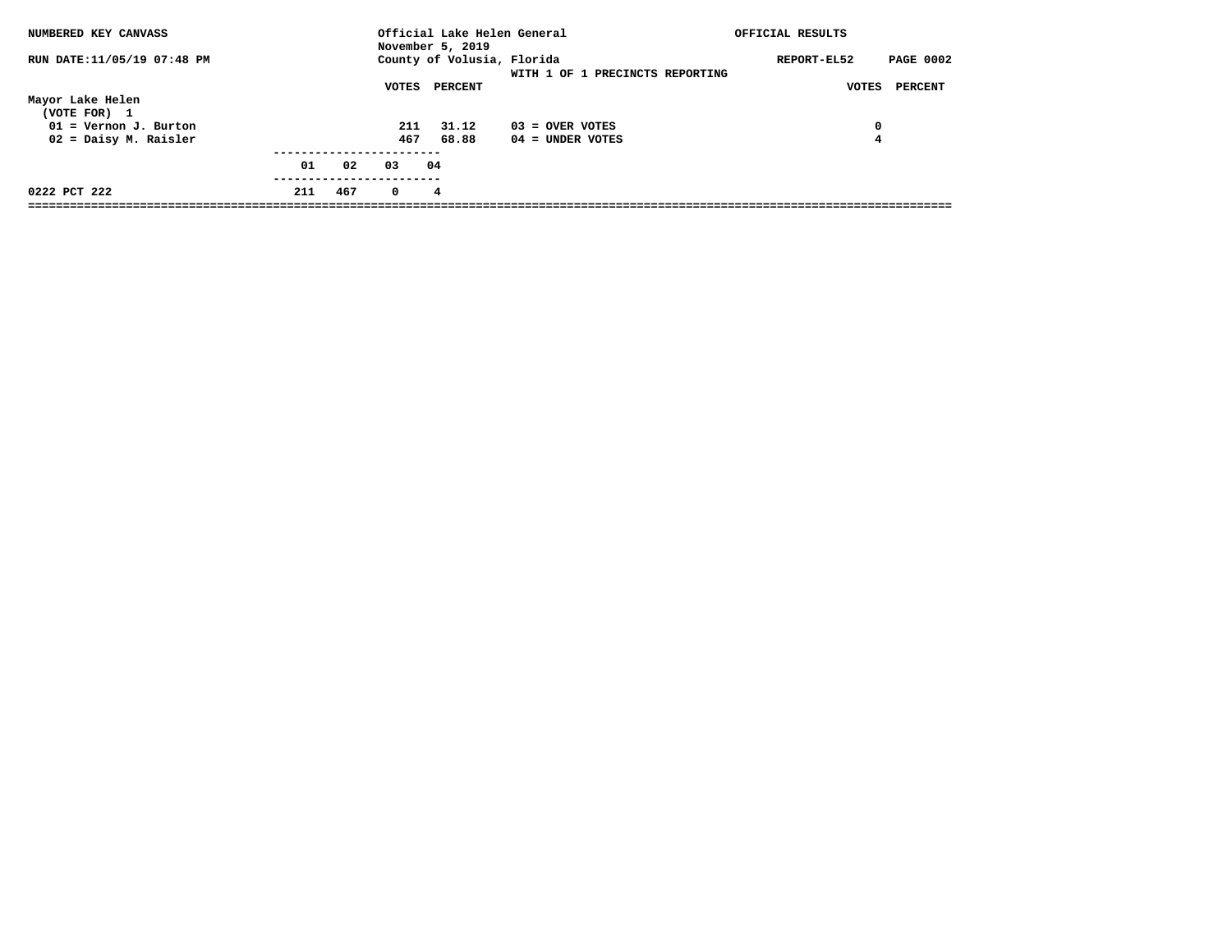| NUMBERED KEY CANVASS             |     |     |            | Official Lake Helen General<br>November 5, 2019 |                                 | OFFICIAL RESULTS                |
|----------------------------------|-----|-----|------------|-------------------------------------------------|---------------------------------|---------------------------------|
| RUN DATE:11/05/19 07:48 PM       |     |     |            | County of Volusia, Florida                      | WITH 1 OF 1 PRECINCTS REPORTING | <b>PAGE 0002</b><br>REPORT-EL52 |
|                                  |     |     | VOTES      | PERCENT                                         |                                 | PERCENT<br>VOTES                |
| Mayor Lake Helen<br>(VOTE FOR) 1 |     |     |            |                                                 |                                 |                                 |
| $01 =$ Vernon J. Burton          |     |     | 211        | 31.12                                           | $03 =$ OVER VOTES               | 0                               |
| 02 = Daisy M. Raisler            |     |     | 467        | 68.88                                           | $04 =$ UNDER VOTES              | 4                               |
|                                  |     |     |            |                                                 |                                 |                                 |
|                                  | 01  | 02  | 03         | 04                                              |                                 |                                 |
| 0222 PCT 222                     | 211 | 467 | $^{\circ}$ | 4                                               |                                 |                                 |
|                                  |     |     |            |                                                 |                                 |                                 |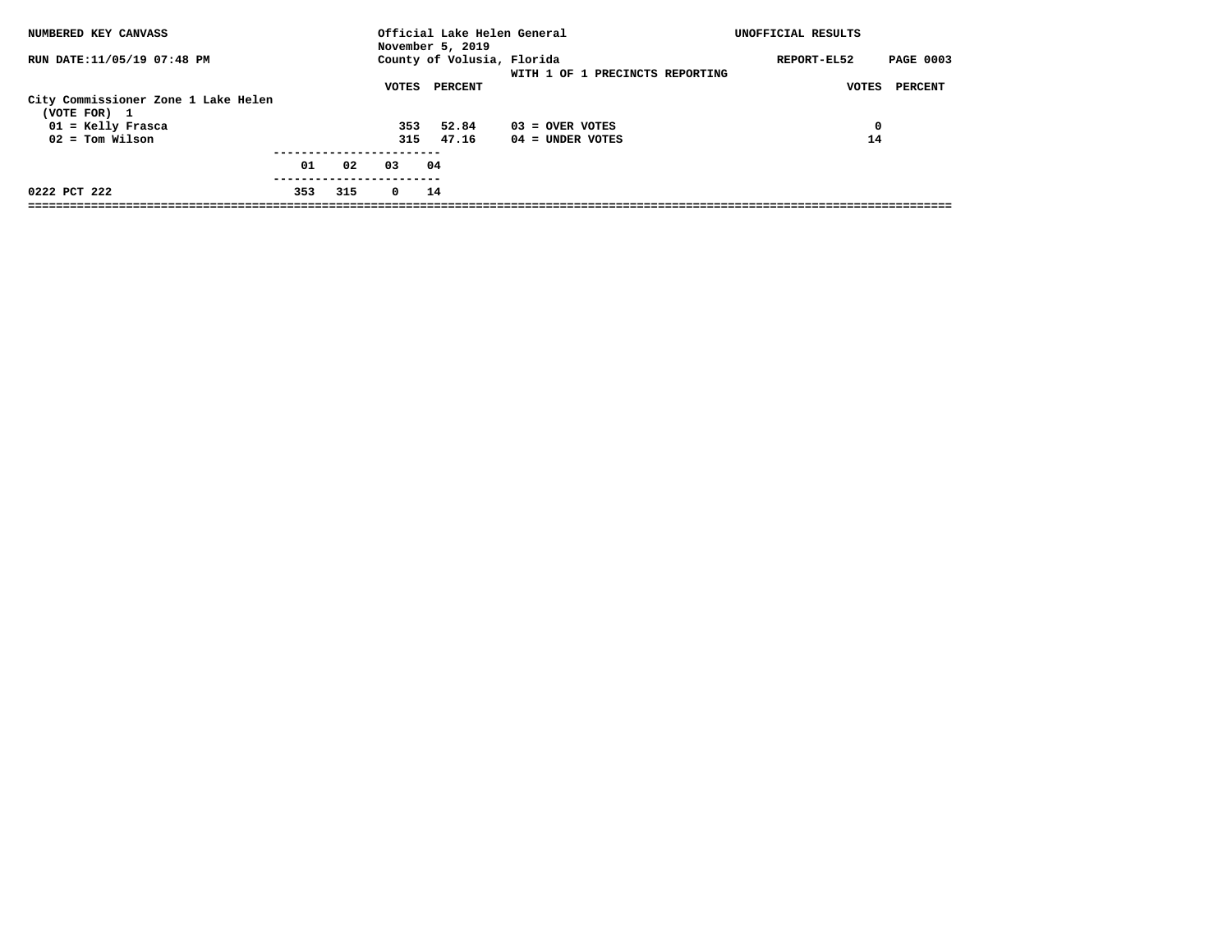| NUMBERED KEY CANVASS                                |     |     |            | November 5, 2019 | Official Lake Helen General                                   | UNOFFICIAL RESULTS              |
|-----------------------------------------------------|-----|-----|------------|------------------|---------------------------------------------------------------|---------------------------------|
| RUN DATE:11/05/19 07:48 PM                          |     |     |            |                  | County of Volusia, Florida<br>WITH 1 OF 1 PRECINCTS REPORTING | <b>PAGE 0003</b><br>REPORT-EL52 |
|                                                     |     |     | VOTES      | PERCENT          |                                                               | PERCENT<br>VOTES                |
| City Commissioner Zone 1 Lake Helen<br>(VOTE FOR) 1 |     |     |            |                  |                                                               |                                 |
| $01 =$ Kelly Frasca                                 |     |     | 353        | 52.84            | $03 =$ OVER VOTES                                             | 0                               |
| $02 = Tom Wilson$                                   |     |     | 315        | 47.16            | $04 =$ UNDER VOTES                                            | 14                              |
|                                                     | 01  | 02  | 03         | 04               |                                                               |                                 |
| 0222 PCT 222                                        | 353 | 315 | $^{\circ}$ | 14               |                                                               |                                 |